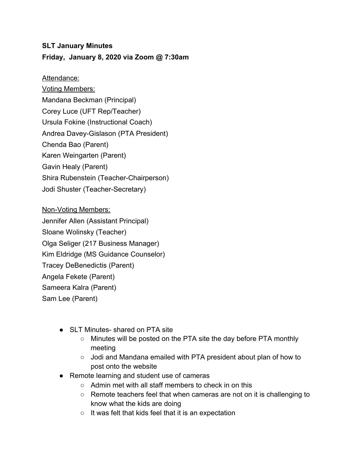## **SLT January Minutes Friday, January 8, 2020 via Zoom @ 7:30am**

Attendance:

Voting Members: Mandana Beckman (Principal) Corey Luce (UFT Rep/Teacher) Ursula Fokine (Instructional Coach) Andrea Davey-Gislason (PTA President) Chenda Bao (Parent) Karen Weingarten (Parent) Gavin Healy (Parent) Shira Rubenstein (Teacher-Chairperson) Jodi Shuster (Teacher-Secretary)

Non-Voting Members: Jennifer Allen (Assistant Principal) Sloane Wolinsky (Teacher) Olga Seliger (217 Business Manager) Kim Eldridge (MS Guidance Counselor) Tracey DeBenedictis (Parent) Angela Fekete (Parent) Sameera Kalra (Parent) Sam Lee (Parent)

- SLT Minutes- shared on PTA site
	- Minutes will be posted on the PTA site the day before PTA monthly meeting
	- Jodi and Mandana emailed with PTA president about plan of how to post onto the website
- Remote learning and student use of cameras
	- Admin met with all staff members to check in on this
	- Remote teachers feel that when cameras are not on it is challenging to know what the kids are doing
	- It was felt that kids feel that it is an expectation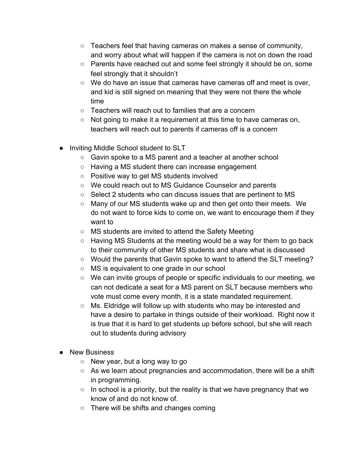- Teachers feel that having cameras on makes a sense of community, and worry about what will happen if the camera is not on down the road
- Parents have reached out and some feel strongly it should be on, some feel strongly that it shouldn't
- $\circ$  We do have an issue that cameras have cameras off and meet is over, and kid is still signed on meaning that they were not there the whole time
- Teachers will reach out to families that are a concern
- $\circ$  Not going to make it a requirement at this time to have cameras on, teachers will reach out to parents if cameras off is a concern
- **Inviting Middle School student to SLT** 
	- Gavin spoke to a MS parent and a teacher at another school
	- Having a MS student there can increase engagement
	- Positive way to get MS students involved
	- We could reach out to MS Guidance Counselor and parents
	- Select 2 students who can discuss issues that are pertinent to MS
	- Many of our MS students wake up and then get onto their meets. We do not want to force kids to come on, we want to encourage them if they want to
	- MS students are invited to attend the Safety Meeting
	- Having MS Students at the meeting would be a way for them to go back to their community of other MS students and share what is discussed
	- Would the parents that Gavin spoke to want to attend the SLT meeting?
	- MS is equivalent to one grade in our school
	- We can invite groups of people or specific individuals to our meeting, we can not dedicate a seat for a MS parent on SLT because members who vote must come every month, it is a state mandated requirement.
	- Ms. Eldridge will follow up with students who may be interested and have a desire to partake in things outside of their workload. Right now it is true that it is hard to get students up before school, but she will reach out to students during advisory
- **New Business** 
	- $\circ$  New year, but a long way to go
	- As we learn about pregnancies and accommodation, there will be a shift in programming.
	- $\circ$  In school is a priority, but the reality is that we have pregnancy that we know of and do not know of.
	- There will be shifts and changes coming